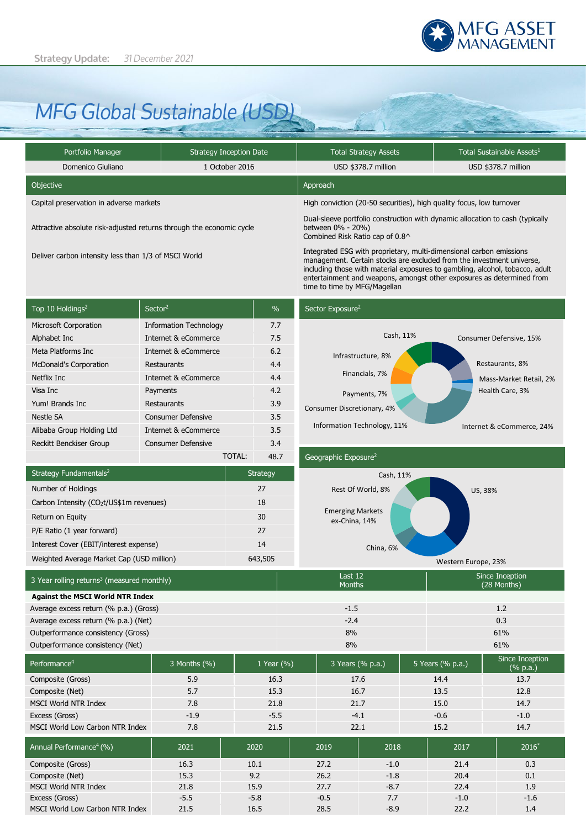

# *MFG Global Sustainable (USD)*

| Portfolio Manager                                                    | <b>Strategy Inception Date</b> | <b>Total Strategy Assets</b>                                                                                                                                                                                                                                                                                                          | Total Sustainable Assets <sup>1</sup> |  |
|----------------------------------------------------------------------|--------------------------------|---------------------------------------------------------------------------------------------------------------------------------------------------------------------------------------------------------------------------------------------------------------------------------------------------------------------------------------|---------------------------------------|--|
| Domenico Giuliano                                                    | 1 October 2016                 | USD \$378.7 million                                                                                                                                                                                                                                                                                                                   | USD \$378.7 million                   |  |
| Objective                                                            |                                | Approach                                                                                                                                                                                                                                                                                                                              |                                       |  |
| Capital preservation in adverse markets                              |                                | High conviction (20-50 securities), high quality focus, low turnover                                                                                                                                                                                                                                                                  |                                       |  |
| Attractive absolute risk-adjusted returns through the economic cycle |                                | Dual-sleeve portfolio construction with dynamic allocation to cash (typically<br>between 0% - 20%)<br>Combined Risk Ratio cap of 0.8^                                                                                                                                                                                                 |                                       |  |
| Deliver carbon intensity less than 1/3 of MSCI World                 |                                | Integrated ESG with proprietary, multi-dimensional carbon emissions<br>management. Certain stocks are excluded from the investment universe,<br>including those with material exposures to gambling, alcohol, tobacco, adult<br>entertainment and weapons, amongst other exposures as determined from<br>time to time by MFG/Magellan |                                       |  |

| Top 10 Holdings <sup>2</sup>   | Sector <sup>2</sup>           | $\%$ |
|--------------------------------|-------------------------------|------|
| <b>Microsoft Corporation</b>   | <b>Information Technology</b> | 7.7  |
| Alphabet Inc                   | Internet & eCommerce          | 7.5  |
| Meta Platforms Inc.            | Internet & eCommerce          | 6.2  |
| <b>McDonald's Corporation</b>  | Restaurants                   | 4.4  |
| Netflix Inc                    | Internet & eCommerce          | 4.4  |
| Visa Inc                       | Payments                      | 4.2  |
| Yum! Brands Inc.               | Restaurants                   | 3.9  |
| Nestle SA                      | <b>Consumer Defensive</b>     | 3.5  |
| Alibaba Group Holding Ltd      | Internet & eCommerce          | 3.5  |
| <b>Reckitt Benckiser Group</b> | Consumer Defensive            | 3.4  |
|                                |                               |      |

# Sector Exposure<sup>2</sup>



|                                                        |  | TOTAL:  | 48.7     | Geographic Exposure <sup>2</sup>         |                                |  |
|--------------------------------------------------------|--|---------|----------|------------------------------------------|--------------------------------|--|
| Strategy Fundamentals <sup>2</sup>                     |  |         | Strategy | Cash, 11%                                |                                |  |
| Number of Holdings                                     |  |         | 27       | Rest Of World, 8%                        | US, 38%                        |  |
| Carbon Intensity (CO2t/US\$1m revenues)                |  |         | 18       |                                          |                                |  |
| Return on Equity                                       |  |         | 30       | <b>Emerging Markets</b><br>ex-China, 14% |                                |  |
| P/E Ratio (1 year forward)                             |  |         | 27       |                                          |                                |  |
| Interest Cover (EBIT/interest expense)                 |  |         | 14       | China, 6%                                |                                |  |
| Weighted Average Market Cap (USD million)              |  | 643,505 |          | Western Europe, 23%                      |                                |  |
| 3 Year rolling returns <sup>3</sup> (measured monthly) |  |         |          | Last 12<br><b>Months</b>                 | Since Inception<br>(28 Months) |  |

| <b>Against the MSCI World NTR Index</b> |        |     |
|-----------------------------------------|--------|-----|
| Average excess return (% p.a.) (Gross)  | $-1.5$ |     |
| Average excess return (% p.a.) (Net)    | $-2.4$ | 0.3 |
| Outperformance consistency (Gross)      | 8%     | 61% |
| Outperformance consistency (Net)        | 8%     | 61% |

| Performance <sup>4</sup>            | 3 Months (%) | 1 Year (%) | 3 Years (% p.a.) |        | 5 Years (% p.a.) | Since Inception<br>$(% \mathbb{R}^2)$ (% p.a.) |
|-------------------------------------|--------------|------------|------------------|--------|------------------|------------------------------------------------|
| Composite (Gross)                   | 5.9          | 16.3       |                  | 17.6   | 14.4             | 13.7                                           |
| Composite (Net)                     | 5.7          | 15.3       |                  | 16.7   | 13.5             | 12.8                                           |
| <b>MSCI World NTR Index</b>         | 7.8          | 21.8       |                  | 21.7   | 15.0             | 14.7                                           |
| Excess (Gross)                      | $-1.9$       | $-5.5$     |                  | $-4.1$ | $-0.6$           | $-1.0$                                         |
| MSCI World Low Carbon NTR Index     | 7.8          | 21.5       |                  | 22.1   | 15.2             | 14.7                                           |
|                                     |              |            |                  |        |                  |                                                |
| Annual Performance <sup>4</sup> (%) | 2021         | 2020       | 2019             | 2018   | 2017             | $2016*$                                        |
| Composite (Gross)                   | 16.3         | 10.1       | 27.2             | $-1.0$ | 21.4             | 0.3                                            |
| Composite (Net)                     | 15.3         | 9.2        | 26.2             | $-1.8$ | 20.4             | 0.1                                            |
| <b>MSCI World NTR Index</b>         | 21.8         | 15.9       | 27.7             | $-8.7$ | 22.4             | 1.9                                            |
| Excess (Gross)                      | $-5.5$       | $-5.8$     | $-0.5$           | 7.7    | $-1.0$           | $-1.6$                                         |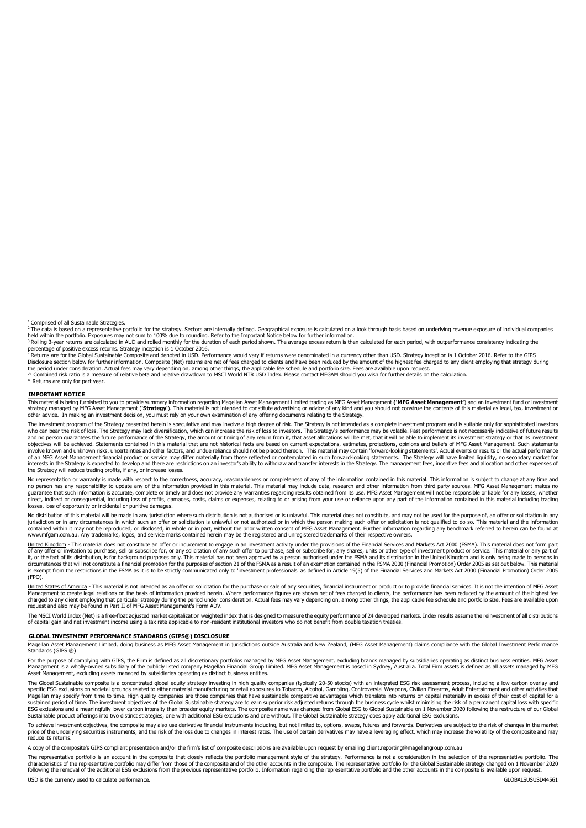<sup>1</sup> Comprised of all Sustainable Strategies.

2 The data is based on a representative portfolio for the strategy. Sectors are internally defined. Geographical exposure is calculated on a look through basis based on underlying revenue exposure of individual companies

held within the portfolio. Exposures may not sum to 100% due to rounding. Refer to the Important Notice below for further information.<br><sup>3</sup> Rolling 3-year returns are calculated in AUD and rolled monthly for the duration of

percentage of positive excess returns. Strategy inception is 1 October 2016.<br>4 Returns are for the Global Sustainable Composite and denoted in USD. Performance would vary if returns were denominated in a currency other tha

the period under consideration. Actual fees may vary depending on, among other things, the applicable fee schedule and portfolio size. Fees are available upon request.<br>^ Combined risk ratio is a measure of relative beta an

Returns are only for part year.

other advice. In making an investment decision, you must rely on your own examination of any offering documents relating to the Strategy.

#### **IMPORTANT NOTICE**

This material is being furnished to you to provide summary information regarding Magellan Asset Management Limited trading as MFG Asset Management ("**MFG Asset Management'**) and an investment fund or investment<br>strategy ma

The investment program of the Strategy presented herein is speculative and may involve a high degree of risk. The Strategy is not intended as a complete investment program and is suitable only for sophisticated investors who can bear the risk of loss. The Strategy may lack diversification, which can increase the risk of loss to investors. The Strategy's performance may be volatile. Past performance is not necessarily indicative of future r of an MFG Asset Management financial product or service may differ materially from those reflected or contemplated in such forward-looking statements. The Strategy will have limited liquidity, no secondary market for<br>inter the Strategy will reduce trading profits, if any, or increase losses.

No representation or warranty is made with respect to the correctness, accuracy, reasonableness or completeness of any of the information contained in this material. This information is subject to change at any time and<br>no guarantee that such information is accurate, complete or timely and does not provide any warranties regarding results obtained from its use. MFG Asset Management will not be responsible or liable for any losses, whether<br>di losses, loss of opportunity or incidental or punitive damages.

No distribution of this material will be made in any jurisdiction where such distribution is not authorised or is unlawful. This material does not constitute, and may not be used for the purpose of, an offer or solicitatio contained within it may not be reproduced, or disclosed, in whole or in part, without the prior written consent of MFG Asset Management. Further information regarding any benchmark referred to herein can be found at<br>www.mf

United Kingdom - This material does not constitute an offer or inducement to engage in an investment activity under the provisions of the Financial Services and Markets Act 2000 (FSMA). This material does not form part of any offer or invitation to purchase, sell or subscribe for, or any solicitation of any such offer to purchase, sell or subscribe for, any shares, units or other type of investment product or service. This material or an is exempt from the restrictions in the FSMA as it is to be strictly communicated only to 'investment professionals' as defined in Article 19(5) of the Financial Services and Markets Act 2000 (Financial Promotion) Order 200

United States of America - This material is not intended as an offer or solicitation for the purchase or sale of any securities, financial instrument or product or to provide financial services. It is not the intention of Management to create legal relations on the basis of information provided herein. Where performance figures are shown net of fees charged to clients, the performance has been reduced by the amount of the highest fee<br>charge request and also may be found in Part II of MFG Asset Management's Form ADV.

The MSCI World Index (Net) is a free-float adjusted market capitalization weighted index that is designed to measure the equity performance of 24 developed markets. Index results assume the reinvestment of all distribution of capital gain and net investment income using a tax rate applicable to non-resident institutional investors who do not benefit from double taxation treaties.

#### **GLOBAL INVESTMENT PERFORMANCE STANDARDS (GIPS®) DISCLOSURE**

Magellan Asset Management Limited, doing business as MFG Asset Management in jurisdictions outside Australia and New Zealand, (MFG Asset Management) claims compliance with the Global Investment Performance Standards (GIPS ®)

For the purpose of complying with GIPS, the Firm is defined as all discretionary portfolios managed by MFG Asset Management, excluding brands managed by subsidiaries operating as distinct business entities. MFG Asset<br>Manag

The Global Sustainable composite is a concentrated global equity strategy investing in high quality companies (typically 20-50 stocks) with an integrated ESG risk assessment process, including a low carbon overlay and specific ESG exclusions on societal grounds related to either material manufacturing or retail exposures to Tobacco, Alcohol, Gambling, Controversial Weapons, Civilian Firearms, Adult Entertainment and other activities tha sustained period of time. The investment objectives of the Global Sustainable strategy are to earn superior risk adjusted returns through the business cycle whilst minimising the risk of a permanent capital loss with speci

To achieve investment objectives, the composite may also use derivative financial instruments including, but not limited to, options, swaps, futures and forwards. Derivatives are subject to the risk of changes in the marke reduce its returns.

A copy of the composite's GIPS compliant presentation and/or the firm's list of composite descriptions are available upon request by emailing client.reporting@magellangroup.com.au

The representative portfolio is an account in the composite that closely reflects the portfolio management style of the strategy. Performance is not a consideration in the selection of the representative portfolio. The rep